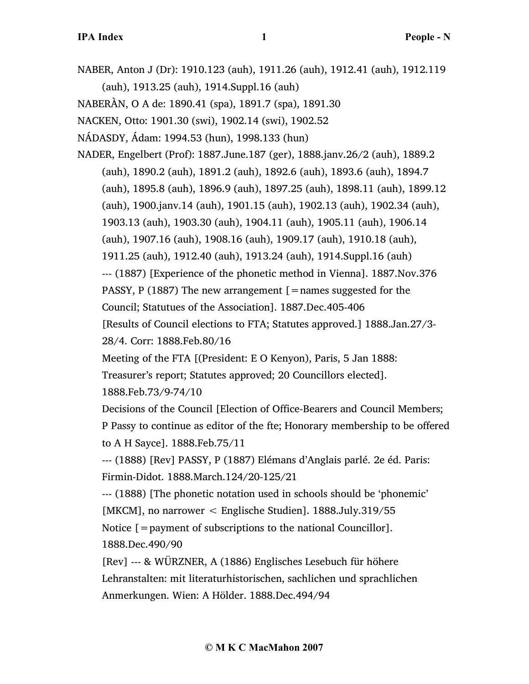NABER, Anton J (Dr): 1910.123 (auh), 1911.26 (auh), 1912.41 (auh), 1912.119 (auh), 1913.25 (auh), 1914.Suppl.16 (auh)

NABERÀN, O A de: 1890.41 (spa), 1891.7 (spa), 1891.30

NACKEN, Otto: 1901.30 (swi), 1902.14 (swi), 1902.52

NÁDASDY, Ádam: 1994.53 (hun), 1998.133 (hun)

NADER, Engelbert (Prof): 1887.June.187 (ger), 1888.janv.26/2 (auh), 1889.2 (auh), 1890.2 (auh), 1891.2 (auh), 1892.6 (auh), 1893.6 (auh), 1894.7 (auh), 1895.8 (auh), 1896.9 (auh), 1897.25 (auh), 1898.11 (auh), 1899.12 (auh), 1900.janv.14 (auh), 1901.15 (auh), 1902.13 (auh), 1902.34 (auh), 1903.13 (auh), 1903.30 (auh), 1904.11 (auh), 1905.11 (auh), 1906.14 (auh), 1907.16 (auh), 1908.16 (auh), 1909.17 (auh), 1910.18 (auh), 1911.25 (auh), 1912.40 (auh), 1913.24 (auh), 1914.Suppl.16 (auh) --- (1887) [Experience of the phonetic method in Vienna]. 1887.Nov.376 PASSY, P (1887) The new arrangement  $\mathcal{F}$  = names suggested for the Council; Statutues of the Association]. 1887.Dec.405-406 [Results of Council elections to FTA; Statutes approved.] 1888.Jan.27/3- 28/4. Corr: 1888.Feb.80/16

Meeting of the FTA [(President: E O Kenyon), Paris, 5 Jan 1888:

Treasurer's report; Statutes approved; 20 Councillors elected]. 1888.Feb.73/9-74/10

Decisions of the Council [Election of Office-Bearers and Council Members; P Passy to continue as editor of the fte; Honorary membership to be offered to A H Sayce]. 1888.Feb.75/11

--- (1888) [Rev] PASSY, P (1887) Elémans d'Anglais parlé. 2e éd. Paris: Firmin-Didot. 1888.March.124/20-125/21

--- (1888) [The phonetic notation used in schools should be 'phonemic' [MKCM], no narrower < Englische Studien]. 1888.July.319/55

Notice  $\mathcal{L} =$  payment of subscriptions to the national Councillor]. 1888.Dec.490/90

[Rev] --- & WÜRZNER, A (1886) Englisches Lesebuch für höhere Lehranstalten: mit literaturhistorischen, sachlichen und sprachlichen Anmerkungen. Wien: A Hölder. 1888.Dec.494/94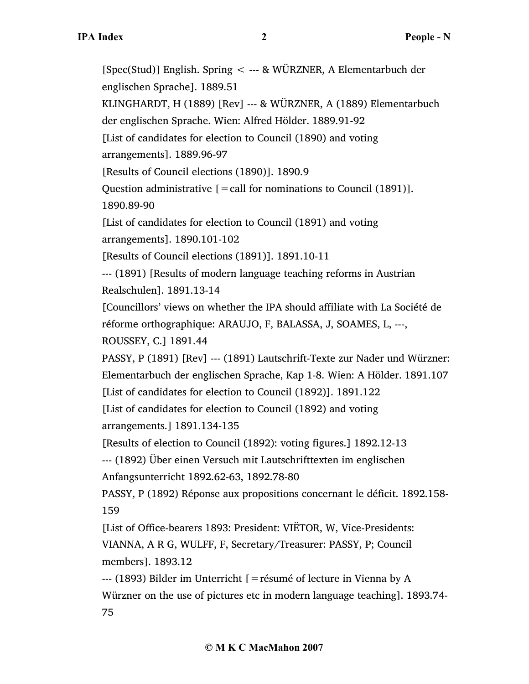[Spec(Stud)] English. Spring < --- & WÜRZNER, A Elementarbuch der englischen Sprache]. 1889.51 KLINGHARDT, H (1889) [Rev] --- & WÜRZNER, A (1889) Elementarbuch der englischen Sprache. Wien: Alfred Hölder. 1889.91-92 [List of candidates for election to Council (1890) and voting arrangements]. 1889.96-97 [Results of Council elections (1890)]. 1890.9 Question administrative  $[=$  call for nominations to Council (1891)]. 1890.89-90 [List of candidates for election to Council (1891) and voting arrangements]. 1890.101-102 [Results of Council elections (1891)]. 1891.10-11 --- (1891) [Results of modern language teaching reforms in Austrian Realschulen]. 1891.13-14 [Councillors' views on whether the IPA should affiliate with La Société de réforme orthographique: ARAUJO, F, BALASSA, J, SOAMES, L, ---, ROUSSEY, C.] 1891.44 PASSY, P (1891) [Rev] --- (1891) Lautschrift-Texte zur Nader und Würzner: Elementarbuch der englischen Sprache, Kap 1-8. Wien: A Hölder. 1891.107 [List of candidates for election to Council (1892)]. 1891.122 [List of candidates for election to Council (1892) and voting arrangements.] 1891.134-135 [Results of election to Council (1892): voting figures.] 1892.12-13 --- (1892) Über einen Versuch mit Lautschrifttexten im englischen Anfangsunterricht 1892.62-63, 1892.78-80 PASSY, P (1892) Réponse aux propositions concernant le déficit. 1892.158- 159 [List of Office-bearers 1893: President: VIËTOR, W, Vice-Presidents: VIANNA, A R G, WULFF, F, Secretary/Treasurer: PASSY, P; Council members]. 1893.12 --- (1893) Bilder im Unterricht [=résumé of lecture in Vienna by A Würzner on the use of pictures etc in modern language teaching]. 1893.74- 75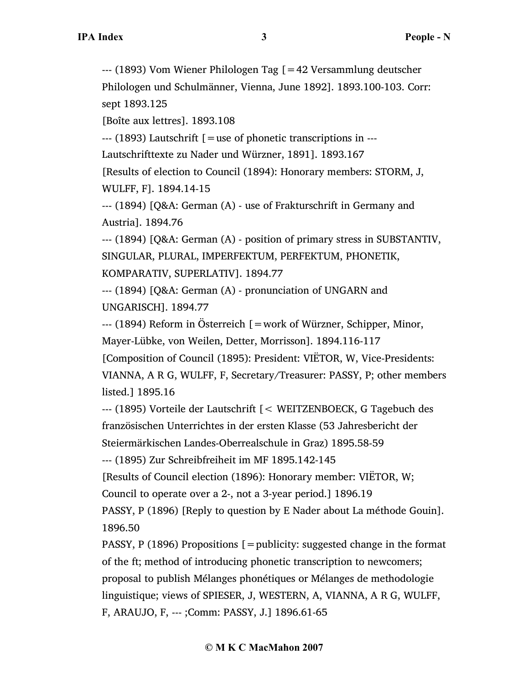--- (1893) Vom Wiener Philologen Tag [=42 Versammlung deutscher Philologen und Schulmänner, Vienna, June 1892]. 1893.100-103. Corr: sept 1893.125

[Boîte aux lettres]. 1893.108

--- (1893) Lautschrift [=use of phonetic transcriptions in ---

Lautschrifttexte zu Nader und Würzner, 1891]. 1893.167

[Results of election to Council (1894): Honorary members: STORM, J, WULFF, F]. 1894.14-15

--- (1894) [Q&A: German (A) - use of Frakturschrift in Germany and Austria]. 1894.76

--- (1894) [Q&A: German (A) - position of primary stress in SUBSTANTIV, SINGULAR, PLURAL, IMPERFEKTUM, PERFEKTUM, PHONETIK, KOMPARATIV, SUPERLATIV]. 1894.77

--- (1894) [Q&A: German (A) - pronunciation of UNGARN and UNGARISCH]. 1894.77

--- (1894) Reform in Österreich [=work of Würzner, Schipper, Minor, Mayer-Lübke, von Weilen, Detter, Morrisson]. 1894.116-117

[Composition of Council (1895): President: VIËTOR, W, Vice-Presidents:

VIANNA, A R G, WULFF, F, Secretary/Treasurer: PASSY, P; other members listed.] 1895.16

--- (1895) Vorteile der Lautschrift [< WEITZENBOECK, G Tagebuch des französischen Unterrichtes in der ersten Klasse (53 Jahresbericht der Steiermärkischen Landes-Oberrealschule in Graz) 1895.58-59

--- (1895) Zur Schreibfreiheit im MF 1895.142-145

[Results of Council election (1896): Honorary member: VIËTOR, W;

Council to operate over a 2-, not a 3-year period.] 1896.19

PASSY, P (1896) [Reply to question by E Nader about La méthode Gouin]. 1896.50

PASSY, P (1896) Propositions  $\mathfrak{f} =$  publicity: suggested change in the format of the ft; method of introducing phonetic transcription to newcomers; proposal to publish Mélanges phonétiques or Mélanges de methodologie linguistique; views of SPIESER, J, WESTERN, A, VIANNA, A R G, WULFF, F, ARAUJO, F, --- ;Comm: PASSY, J.] 1896.61-65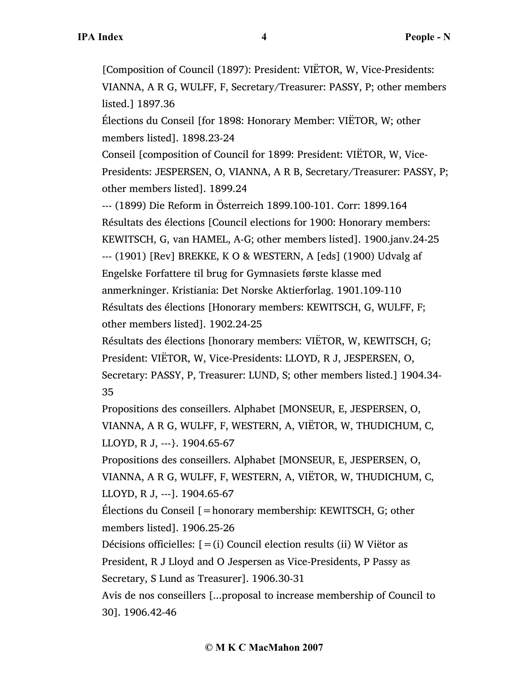[Composition of Council (1897): President: VIËTOR, W, Vice-Presidents: VIANNA, A R G, WULFF, F, Secretary/Treasurer: PASSY, P; other members listed.] 1897.36

Élections du Conseil [for 1898: Honorary Member: VIËTOR, W; other members listed]. 1898.23-24

Conseil [composition of Council for 1899: President: VIËTOR, W, Vice-Presidents: JESPERSEN, O, VIANNA, A R B, Secretary/Treasurer: PASSY, P; other members listed]. 1899.24

--- (1899) Die Reform in Österreich 1899.100-101. Corr: 1899.164 Résultats des élections [Council elections for 1900: Honorary members: KEWITSCH, G, van HAMEL, A-G; other members listed]. 1900.janv.24-25 --- (1901) [Rev] BREKKE, K O & WESTERN, A [eds] (1900) Udvalg af Engelske Forfattere til brug for Gymnasiets første klasse med anmerkninger. Kristiania: Det Norske Aktierforlag. 1901.109-110 Résultats des élections [Honorary members: KEWITSCH, G, WULFF, F; other members listed]. 1902.24-25

Résultats des élections [honorary members: VIËTOR, W, KEWITSCH, G; President: VIËTOR, W, Vice-Presidents: LLOYD, R J, JESPERSEN, O, Secretary: PASSY, P, Treasurer: LUND, S; other members listed.] 1904.34- 35

Propositions des conseillers. Alphabet [MONSEUR, E, JESPERSEN, O, VIANNA, A R G, WULFF, F, WESTERN, A, VIËTOR, W, THUDICHUM, C, LLOYD, R J, ---}. 1904.65-67

Propositions des conseillers. Alphabet [MONSEUR, E, JESPERSEN, O, VIANNA, A R G, WULFF, F, WESTERN, A, VIËTOR, W, THUDICHUM, C, LLOYD, R J, ---]. 1904.65-67

Élections du Conseil [=honorary membership: KEWITSCH, G; other members listed]. 1906.25-26

Décisions officielles:  $[=(i)$  Council election results (ii) W Viëtor as President, R J Lloyd and O Jespersen as Vice-Presidents, P Passy as Secretary, S Lund as Treasurer]. 1906.30-31

Avis de nos conseillers [...proposal to increase membership of Council to 30]. 1906.42-46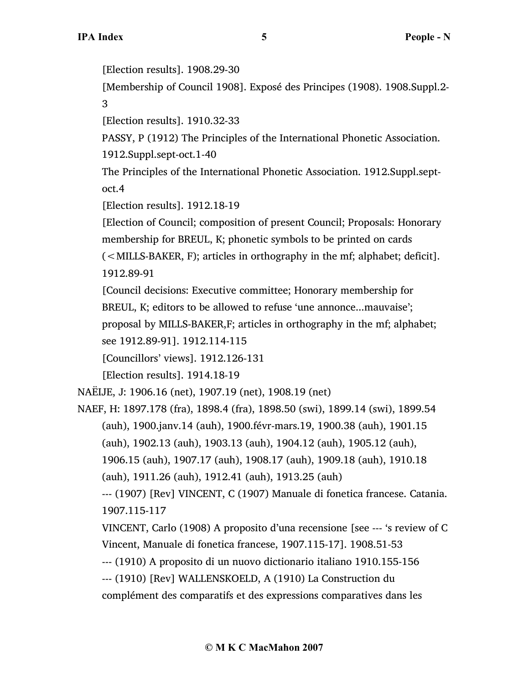[Election results]. 1908.29-30

[Membership of Council 1908]. Exposé des Principes (1908). 1908.Suppl.2- 3

[Election results]. 1910.32-33

PASSY, P (1912) The Principles of the International Phonetic Association. 1912.Suppl.sept-oct.1-40

The Principles of the International Phonetic Association. 1912.Suppl.septoct.4

[Election results]. 1912.18-19

[Election of Council; composition of present Council; Proposals: Honorary membership for BREUL, K; phonetic symbols to be printed on cards (<MILLS-BAKER, F); articles in orthography in the mf; alphabet; deficit]. 1912.89-91

[Council decisions: Executive committee; Honorary membership for BREUL, K; editors to be allowed to refuse 'une annonce...mauvaise'; proposal by MILLS-BAKER,F; articles in orthography in the mf; alphabet;

see 1912.89-91]. 1912.114-115

[Councillors' views]. 1912.126-131

[Election results]. 1914.18-19

NAËIJE, J: 1906.16 (net), 1907.19 (net), 1908.19 (net)

NAEF, H: 1897.178 (fra), 1898.4 (fra), 1898.50 (swi), 1899.14 (swi), 1899.54 (auh), 1900.janv.14 (auh), 1900.févr-mars.19, 1900.38 (auh), 1901.15

(auh), 1902.13 (auh), 1903.13 (auh), 1904.12 (auh), 1905.12 (auh),

1906.15 (auh), 1907.17 (auh), 1908.17 (auh), 1909.18 (auh), 1910.18 (auh), 1911.26 (auh), 1912.41 (auh), 1913.25 (auh)

--- (1907) [Rev] VINCENT, C (1907) Manuale di fonetica francese. Catania. 1907.115-117

VINCENT, Carlo (1908) A proposito d'una recensione [see --- 's review of C Vincent, Manuale di fonetica francese, 1907.115-17]. 1908.51-53

--- (1910) A proposito di un nuovo dictionario italiano 1910.155-156

--- (1910) [Rev] WALLENSKOELD, A (1910) La Construction du

complément des comparatifs et des expressions comparatives dans les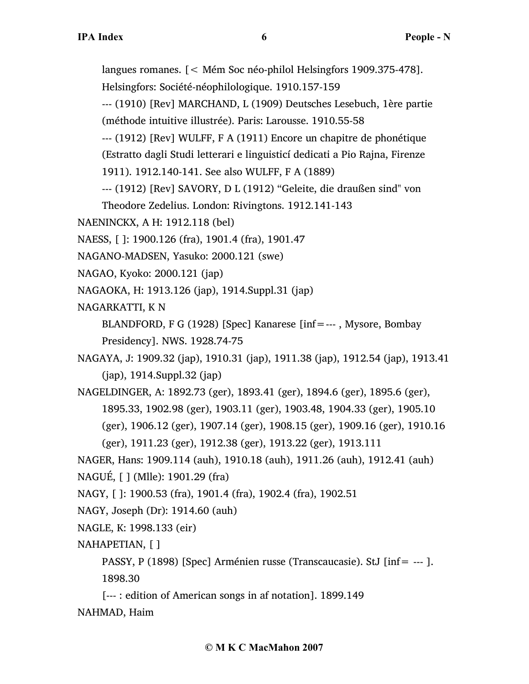langues romanes. [< Mém Soc néo-philol Helsingfors 1909.375-478].

Helsingfors: Société-néophilologique. 1910.157-159

--- (1910) [Rev] MARCHAND, L (1909) Deutsches Lesebuch, 1ère partie (méthode intuitive illustrée). Paris: Larousse. 1910.55-58

--- (1912) [Rev] WULFF, F A (1911) Encore un chapitre de phonétique (Estratto dagli Studi letterari e linguisticí dedicati a Pio Rajna, Firenze

1911). 1912.140-141. See also WULFF, F A (1889)

--- (1912) [Rev] SAVORY, D L (1912) "Geleite, die draußen sind" von

Theodore Zedelius. London: Rivingtons. 1912.141-143

NAENINCKX, A H: 1912.118 (bel)

NAESS, [ ]: 1900.126 (fra), 1901.4 (fra), 1901.47

NAGANO-MADSEN, Yasuko: 2000.121 (swe)

NAGAO, Kyoko: 2000.121 (jap)

NAGAOKA, H: 1913.126 (jap), 1914.Suppl.31 (jap)

NAGARKATTI, K N

BLANDFORD, F G (1928) [Spec] Kanarese [inf=--- , Mysore, Bombay Presidency]. NWS. 1928.74-75

NAGAYA, J: 1909.32 (jap), 1910.31 (jap), 1911.38 (jap), 1912.54 (jap), 1913.41 (jap), 1914.Suppl.32 (jap)

NAGELDINGER, A: 1892.73 (ger), 1893.41 (ger), 1894.6 (ger), 1895.6 (ger), 1895.33, 1902.98 (ger), 1903.11 (ger), 1903.48, 1904.33 (ger), 1905.10 (ger), 1906.12 (ger), 1907.14 (ger), 1908.15 (ger), 1909.16 (ger), 1910.16 (ger), 1911.23 (ger), 1912.38 (ger), 1913.22 (ger), 1913.111

NAGER, Hans: 1909.114 (auh), 1910.18 (auh), 1911.26 (auh), 1912.41 (auh) NAGUÉ, [ ] (Mlle): 1901.29 (fra)

- NAGY, [ ]: 1900.53 (fra), 1901.4 (fra), 1902.4 (fra), 1902.51
- NAGY, Joseph (Dr): 1914.60 (auh)
- NAGLE, K: 1998.133 (eir)

NAHAPETIAN, [ ]

PASSY, P (1898) [Spec] Arménien russe (Transcaucasie). StJ [inf= --- ]. 1898.30

[--- : edition of American songs in af notation]. 1899.149

NAHMAD, Haim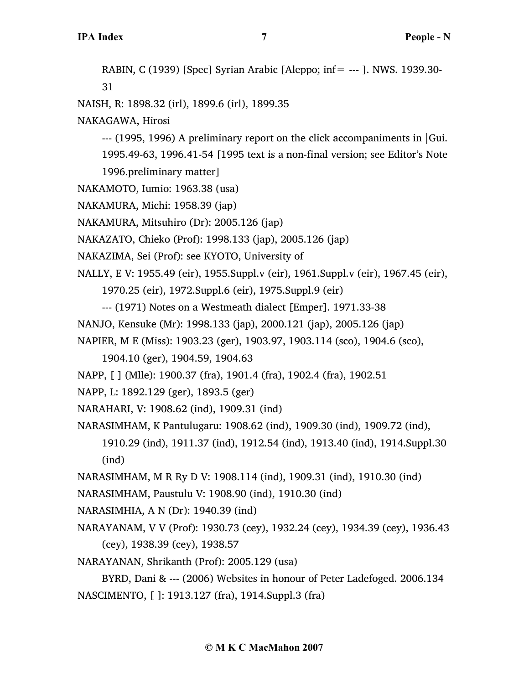RABIN, C (1939) [Spec] Syrian Arabic [Aleppo; inf= --- ]. NWS. 1939.30- 31 NAISH, R: 1898.32 (irl), 1899.6 (irl), 1899.35 NAKAGAWA, Hirosi --- (1995, 1996) A preliminary report on the click accompaniments in |Gui. 1995.49-63, 1996.41-54 [1995 text is a non-final version; see Editor's Note 1996.preliminary matter] NAKAMOTO, Iumio: 1963.38 (usa) NAKAMURA, Michi: 1958.39 (jap) NAKAMURA, Mitsuhiro (Dr): 2005.126 (jap) NAKAZATO, Chieko (Prof): 1998.133 (jap), 2005.126 (jap) NAKAZIMA, Sei (Prof): see KYOTO, University of NALLY, E V: 1955.49 (eir), 1955.Suppl.v (eir), 1961.Suppl.v (eir), 1967.45 (eir), 1970.25 (eir), 1972.Suppl.6 (eir), 1975.Suppl.9 (eir) --- (1971) Notes on a Westmeath dialect [Emper]. 1971.33-38 NANJO, Kensuke (Mr): 1998.133 (jap), 2000.121 (jap), 2005.126 (jap) NAPIER, M E (Miss): 1903.23 (ger), 1903.97, 1903.114 (sco), 1904.6 (sco), 1904.10 (ger), 1904.59, 1904.63 NAPP, [ ] (Mlle): 1900.37 (fra), 1901.4 (fra), 1902.4 (fra), 1902.51 NAPP, L: 1892.129 (ger), 1893.5 (ger) NARAHARI, V: 1908.62 (ind), 1909.31 (ind) NARASIMHAM, K Pantulugaru: 1908.62 (ind), 1909.30 (ind), 1909.72 (ind), 1910.29 (ind), 1911.37 (ind), 1912.54 (ind), 1913.40 (ind), 1914.Suppl.30 (ind) NARASIMHAM, M R Ry D V: 1908.114 (ind), 1909.31 (ind), 1910.30 (ind) NARASIMHAM, Paustulu V: 1908.90 (ind), 1910.30 (ind) NARASIMHIA, A N (Dr): 1940.39 (ind) NARAYANAM, V V (Prof): 1930.73 (cey), 1932.24 (cey), 1934.39 (cey), 1936.43 (cey), 1938.39 (cey), 1938.57

NARAYANAN, Shrikanth (Prof): 2005.129 (usa)

BYRD, Dani & --- (2006) Websites in honour of Peter Ladefoged. 2006.134 NASCIMENTO, [ ]: 1913.127 (fra), 1914.Suppl.3 (fra)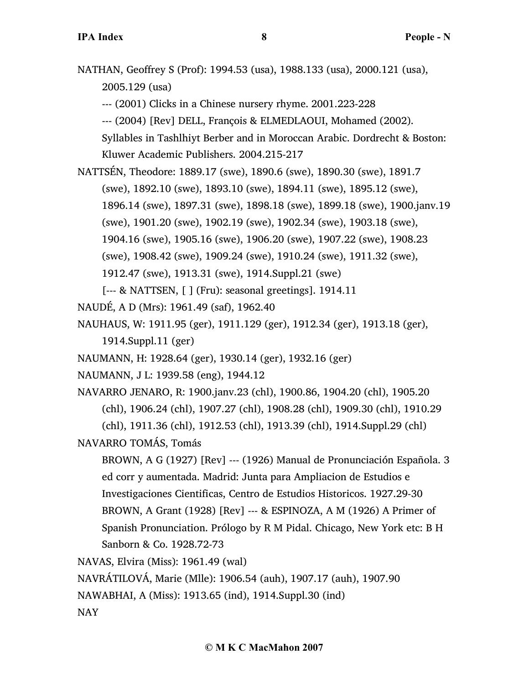NATHAN, Geoffrey S (Prof): 1994.53 (usa), 1988.133 (usa), 2000.121 (usa), 2005.129 (usa)

--- (2001) Clicks in a Chinese nursery rhyme. 2001.223-228

--- (2004) [Rev] DELL, François & ELMEDLAOUI, Mohamed (2002).

Syllables in Tashlhiyt Berber and in Moroccan Arabic. Dordrecht & Boston: Kluwer Academic Publishers. 2004.215-217

NATTSÉN, Theodore: 1889.17 (swe), 1890.6 (swe), 1890.30 (swe), 1891.7

(swe), 1892.10 (swe), 1893.10 (swe), 1894.11 (swe), 1895.12 (swe),

1896.14 (swe), 1897.31 (swe), 1898.18 (swe), 1899.18 (swe), 1900.janv.19

(swe), 1901.20 (swe), 1902.19 (swe), 1902.34 (swe), 1903.18 (swe),

1904.16 (swe), 1905.16 (swe), 1906.20 (swe), 1907.22 (swe), 1908.23

(swe), 1908.42 (swe), 1909.24 (swe), 1910.24 (swe), 1911.32 (swe),

1912.47 (swe), 1913.31 (swe), 1914.Suppl.21 (swe)

[--- & NATTSEN, [ ] (Fru): seasonal greetings]. 1914.11

NAUDÉ, A D (Mrs): 1961.49 (saf), 1962.40

NAUHAUS, W: 1911.95 (ger), 1911.129 (ger), 1912.34 (ger), 1913.18 (ger),

1914.Suppl.11 (ger)

NAUMANN, H: 1928.64 (ger), 1930.14 (ger), 1932.16 (ger)

NAUMANN, J L: 1939.58 (eng), 1944.12

NAVARRO JENARO, R: 1900.janv.23 (chl), 1900.86, 1904.20 (chl), 1905.20 (chl), 1906.24 (chl), 1907.27 (chl), 1908.28 (chl), 1909.30 (chl), 1910.29 (chl), 1911.36 (chl), 1912.53 (chl), 1913.39 (chl), 1914.Suppl.29 (chl)

NAVARRO TOMÁS, Tomás

BROWN, A G (1927) [Rev] --- (1926) Manual de Pronunciación Española. 3 ed corr y aumentada. Madrid: Junta para Ampliacion de Estudios e Investigaciones Cientificas, Centro de Estudios Historicos. 1927.29-30 BROWN, A Grant (1928) [Rev] --- & ESPINOZA, A M (1926) A Primer of Spanish Pronunciation. Prólogo by R M Pidal. Chicago, New York etc: B H Sanborn & Co. 1928.72-73

NAVAS, Elvira (Miss): 1961.49 (wal)

NAVRÁTILOVÁ, Marie (Mlle): 1906.54 (auh), 1907.17 (auh), 1907.90

NAWABHAI, A (Miss): 1913.65 (ind), 1914.Suppl.30 (ind)

NAY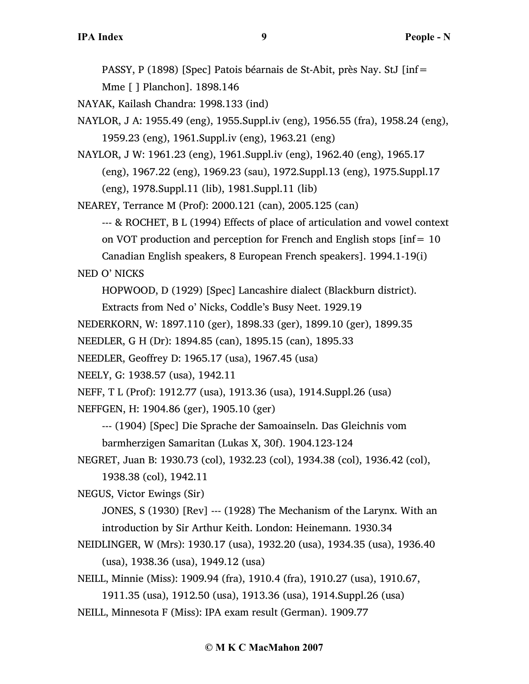PASSY, P (1898) [Spec] Patois béarnais de St-Abit, près Nay. StJ [inf= Mme [ ] Planchon]. 1898.146

NAYAK, Kailash Chandra: 1998.133 (ind)

- NAYLOR, J A: 1955.49 (eng), 1955.Suppl.iv (eng), 1956.55 (fra), 1958.24 (eng), 1959.23 (eng), 1961.Suppl.iv (eng), 1963.21 (eng)
- NAYLOR, J W: 1961.23 (eng), 1961.Suppl.iv (eng), 1962.40 (eng), 1965.17 (eng), 1967.22 (eng), 1969.23 (sau), 1972.Suppl.13 (eng), 1975.Suppl.17 (eng), 1978.Suppl.11 (lib), 1981.Suppl.11 (lib)

NEAREY, Terrance M (Prof): 2000.121 (can), 2005.125 (can)

--- & ROCHET, B L (1994) Effects of place of articulation and vowel context on VOT production and perception for French and English stops [inf= 10 Canadian English speakers, 8 European French speakers]. 1994.1-19(i)

NED O' NICKS

HOPWOOD, D (1929) [Spec] Lancashire dialect (Blackburn district).

Extracts from Ned o' Nicks, Coddle's Busy Neet. 1929.19

NEDERKORN, W: 1897.110 (ger), 1898.33 (ger), 1899.10 (ger), 1899.35

- NEEDLER, G H (Dr): 1894.85 (can), 1895.15 (can), 1895.33
- NEEDLER, Geoffrey D: 1965.17 (usa), 1967.45 (usa)
- NEELY, G: 1938.57 (usa), 1942.11

NEFF, T L (Prof): 1912.77 (usa), 1913.36 (usa), 1914.Suppl.26 (usa)

NEFFGEN, H: 1904.86 (ger), 1905.10 (ger)

- --- (1904) [Spec] Die Sprache der Samoainseln. Das Gleichnis vom barmherzigen Samaritan (Lukas X, 30f). 1904.123-124
- NEGRET, Juan B: 1930.73 (col), 1932.23 (col), 1934.38 (col), 1936.42 (col), 1938.38 (col), 1942.11

NEGUS, Victor Ewings (Sir)

JONES, S (1930) [Rev] --- (1928) The Mechanism of the Larynx. With an introduction by Sir Arthur Keith. London: Heinemann. 1930.34

- NEIDLINGER, W (Mrs): 1930.17 (usa), 1932.20 (usa), 1934.35 (usa), 1936.40 (usa), 1938.36 (usa), 1949.12 (usa)
- NEILL, Minnie (Miss): 1909.94 (fra), 1910.4 (fra), 1910.27 (usa), 1910.67,
- 1911.35 (usa), 1912.50 (usa), 1913.36 (usa), 1914.Suppl.26 (usa) NEILL, Minnesota F (Miss): IPA exam result (German). 1909.77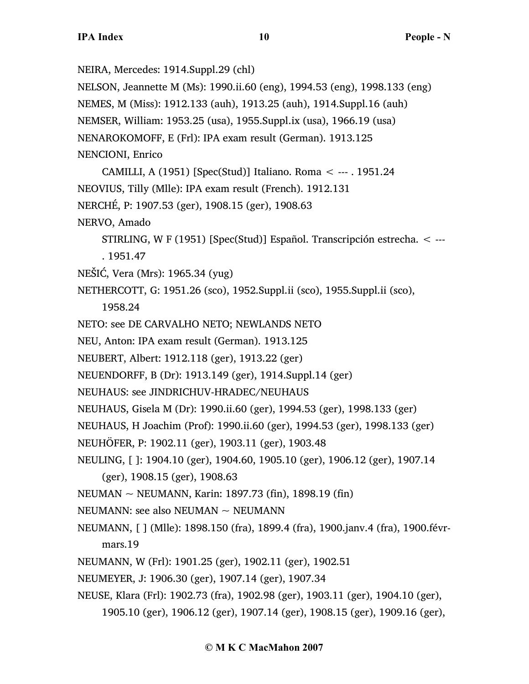NEIRA, Mercedes: 1914.Suppl.29 (chl)

NELSON, Jeannette M (Ms): 1990.ii.60 (eng), 1994.53 (eng), 1998.133 (eng)

NEMES, M (Miss): 1912.133 (auh), 1913.25 (auh), 1914.Suppl.16 (auh)

NEMSER, William: 1953.25 (usa), 1955.Suppl.ix (usa), 1966.19 (usa)

NENAROKOMOFF, E (Frl): IPA exam result (German). 1913.125

```
NENCIONI, Enrico
```
CAMILLI, A (1951) [Spec(Stud)] Italiano. Roma < --- . 1951.24

NEOVIUS, Tilly (Mlle): IPA exam result (French). 1912.131

NERCHÉ, P: 1907.53 (ger), 1908.15 (ger), 1908.63

NERVO, Amado

STIRLING, W F (1951) [Spec(Stud)] Español. Transcripción estrecha. < --- . 1951.47

NEŠIĆ, Vera (Mrs): 1965.34 (yug)

NETHERCOTT, G: 1951.26 (sco), 1952.Suppl.ii (sco), 1955.Suppl.ii (sco),

1958.24

NETO: see DE CARVALHO NETO; NEWLANDS NETO

- NEU, Anton: IPA exam result (German). 1913.125
- NEUBERT, Albert: 1912.118 (ger), 1913.22 (ger)

NEUENDORFF, B (Dr): 1913.149 (ger), 1914.Suppl.14 (ger)

NEUHAUS: see JINDRICHUV-HRADEC/NEUHAUS

NEUHAUS, Gisela M (Dr): 1990.ii.60 (ger), 1994.53 (ger), 1998.133 (ger)

NEUHAUS, H Joachim (Prof): 1990.ii.60 (ger), 1994.53 (ger), 1998.133 (ger)

NEUHÖFER, P: 1902.11 (ger), 1903.11 (ger), 1903.48

NEULING, [ ]: 1904.10 (ger), 1904.60, 1905.10 (ger), 1906.12 (ger), 1907.14 (ger), 1908.15 (ger), 1908.63

NEUMAN ~ NEUMANN, Karin: 1897.73 (fin), 1898.19 (fin)

- NEUMANN: see also NEUMAN  $\sim$  NEUMANN
- NEUMANN, [ ] (Mlle): 1898.150 (fra), 1899.4 (fra), 1900.janv.4 (fra), 1900.févrmars.19
- NEUMANN, W (Frl): 1901.25 (ger), 1902.11 (ger), 1902.51
- NEUMEYER, J: 1906.30 (ger), 1907.14 (ger), 1907.34
- NEUSE, Klara (Frl): 1902.73 (fra), 1902.98 (ger), 1903.11 (ger), 1904.10 (ger),
	- 1905.10 (ger), 1906.12 (ger), 1907.14 (ger), 1908.15 (ger), 1909.16 (ger),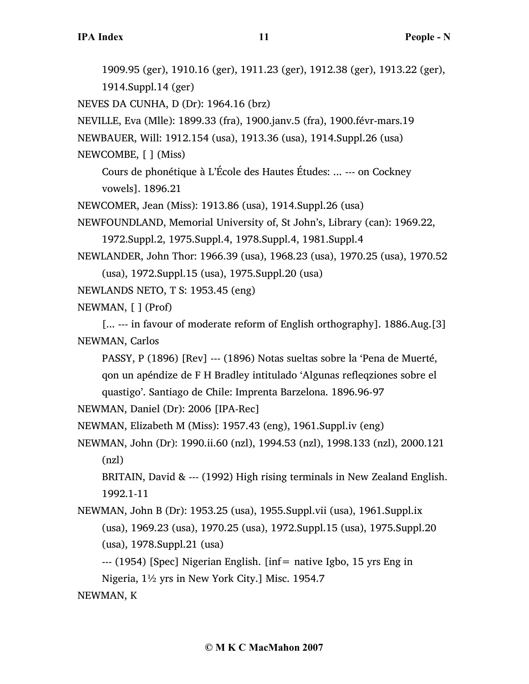1909.95 (ger), 1910.16 (ger), 1911.23 (ger), 1912.38 (ger), 1913.22 (ger), 1914.Suppl.14 (ger) NEVES DA CUNHA, D (Dr): 1964.16 (brz) NEVILLE, Eva (Mlle): 1899.33 (fra), 1900.janv.5 (fra), 1900.févr-mars.19 NEWBAUER, Will: 1912.154 (usa), 1913.36 (usa), 1914.Suppl.26 (usa) NEWCOMBE, [ ] (Miss) Cours de phonétique à L'École des Hautes Études: ... --- on Cockney vowels]. 1896.21 NEWCOMER, Jean (Miss): 1913.86 (usa), 1914.Suppl.26 (usa) NEWFOUNDLAND, Memorial University of, St John's, Library (can): 1969.22, 1972.Suppl.2, 1975.Suppl.4, 1978.Suppl.4, 1981.Suppl.4 NEWLANDER, John Thor: 1966.39 (usa), 1968.23 (usa), 1970.25 (usa), 1970.52 (usa), 1972.Suppl.15 (usa), 1975.Suppl.20 (usa) NEWLANDS NETO, T S: 1953.45 (eng) NEWMAN, [ ] (Prof) [... --- in favour of moderate reform of English orthography]. 1886.Aug.[3] NEWMAN, Carlos PASSY, P (1896) [Rev] --- (1896) Notas sueltas sobre la 'Pena de Muerté, qon un apéndize de F H Bradley intitulado 'Algunas refleqziones sobre el quastigo'. Santiago de Chile: Imprenta Barzelona. 1896.96-97 NEWMAN, Daniel (Dr): 2006 [IPA-Rec] NEWMAN, Elizabeth M (Miss): 1957.43 (eng), 1961.Suppl.iv (eng) NEWMAN, John (Dr): 1990.ii.60 (nzl), 1994.53 (nzl), 1998.133 (nzl), 2000.121 (nzl) BRITAIN, David & --- (1992) High rising terminals in New Zealand English. 1992.1-11 NEWMAN, John B (Dr): 1953.25 (usa), 1955.Suppl.vii (usa), 1961.Suppl.ix (usa), 1969.23 (usa), 1970.25 (usa), 1972.Suppl.15 (usa), 1975.Suppl.20 (usa), 1978.Suppl.21 (usa) --- (1954) [Spec] Nigerian English. [inf= native Igbo, 15 yrs Eng in Nigeria, 1½ yrs in New York City.] Misc. 1954.7

NEWMAN, K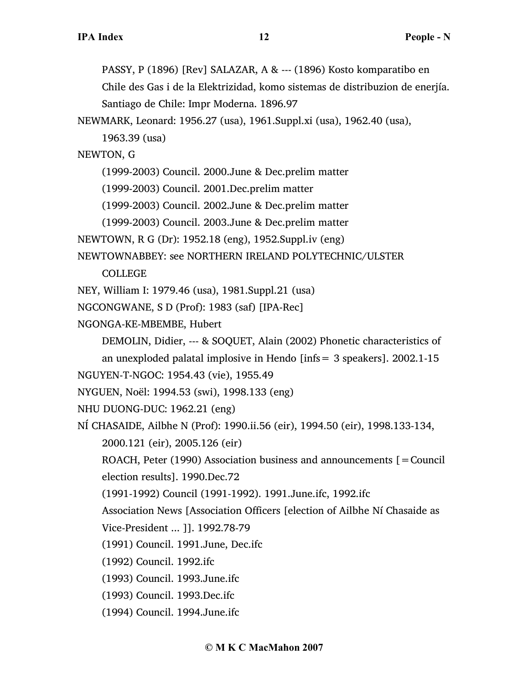PASSY, P (1896) [Rev] SALAZAR, A & --- (1896) Kosto komparatibo en

Chile des Gas i de la Elektrizidad, komo sistemas de distribuzion de enerjía.

Santiago de Chile: Impr Moderna. 1896.97

NEWMARK, Leonard: 1956.27 (usa), 1961.Suppl.xi (usa), 1962.40 (usa),

1963.39 (usa)

NEWTON, G

(1999-2003) Council. 2000.June & Dec.prelim matter

(1999-2003) Council. 2001.Dec.prelim matter

(1999-2003) Council. 2002.June & Dec.prelim matter

(1999-2003) Council. 2003.June & Dec.prelim matter

NEWTOWN, R G (Dr): 1952.18 (eng), 1952.Suppl.iv (eng)

NEWTOWNABBEY: see NORTHERN IRELAND POLYTECHNIC/ULSTER

COLLEGE

NEY, William I: 1979.46 (usa), 1981.Suppl.21 (usa)

NGCONGWANE, S D (Prof): 1983 (saf) [IPA-Rec]

NGONGA-KE-MBEMBE, Hubert

DEMOLIN, Didier, --- & SOQUET, Alain (2002) Phonetic characteristics of

an unexploded palatal implosive in Hendo [infs= 3 speakers]. 2002.1-15

NGUYEN-T-NGOC: 1954.43 (vie), 1955.49

```
NYGUEN, Noël: 1994.53 (swi), 1998.133 (eng)
```
NHU DUONG-DUC: 1962.21 (eng)

NÍ CHASAIDE, Ailbhe N (Prof): 1990.ii.56 (eir), 1994.50 (eir), 1998.133-134,

2000.121 (eir), 2005.126 (eir)

ROACH, Peter (1990) Association business and announcements  $[=$  Council election results]. 1990.Dec.72

(1991-1992) Council (1991-1992). 1991.June.ifc, 1992.ifc

Association News [Association Officers [election of Ailbhe Ní Chasaide as

Vice-President ... ]]. 1992.78-79

(1991) Council. 1991.June, Dec.ifc

- (1992) Council. 1992.ifc
- (1993) Council. 1993.June.ifc
- (1993) Council. 1993.Dec.ifc

(1994) Council. 1994.June.ifc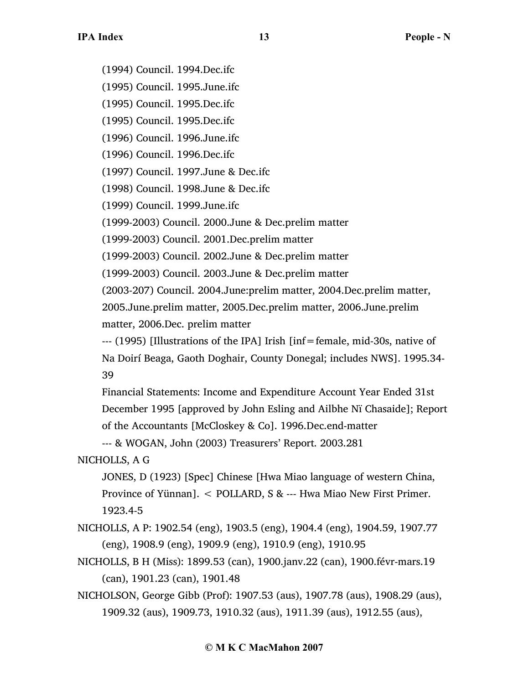(1994) Council. 1994.Dec.ifc

(1995) Council. 1995.June.ifc

(1995) Council. 1995.Dec.ifc

(1995) Council. 1995.Dec.ifc

(1996) Council. 1996.June.ifc

(1996) Council. 1996.Dec.ifc

(1997) Council. 1997.June & Dec.ifc

(1998) Council. 1998.June & Dec.ifc

(1999) Council. 1999.June.ifc

(1999-2003) Council. 2000.June & Dec.prelim matter

(1999-2003) Council. 2001.Dec.prelim matter

(1999-2003) Council. 2002.June & Dec.prelim matter

(1999-2003) Council. 2003.June & Dec.prelim matter

(2003-207) Council. 2004.June:prelim matter, 2004.Dec.prelim matter,

2005.June.prelim matter, 2005.Dec.prelim matter, 2006.June.prelim matter, 2006.Dec. prelim matter

--- (1995) [Illustrations of the IPA] Irish [inf=female, mid-30s, native of Na Doirí Beaga, Gaoth Doghair, County Donegal; includes NWS]. 1995.34- 39

Financial Statements: Income and Expenditure Account Year Ended 31st December 1995 [approved by John Esling and Ailbhe Nï Chasaide]; Report of the Accountants [McCloskey & Co]. 1996.Dec.end-matter

--- & WOGAN, John (2003) Treasurers' Report. 2003.281

NICHOLLS, A G

JONES, D (1923) [Spec] Chinese [Hwa Miao language of western China, Province of Yünnan]. < POLLARD, S & --- Hwa Miao New First Primer. 1923.4-5

NICHOLLS, A P: 1902.54 (eng), 1903.5 (eng), 1904.4 (eng), 1904.59, 1907.77 (eng), 1908.9 (eng), 1909.9 (eng), 1910.9 (eng), 1910.95

- NICHOLLS, B H (Miss): 1899.53 (can), 1900.janv.22 (can), 1900.févr-mars.19 (can), 1901.23 (can), 1901.48
- NICHOLSON, George Gibb (Prof): 1907.53 (aus), 1907.78 (aus), 1908.29 (aus), 1909.32 (aus), 1909.73, 1910.32 (aus), 1911.39 (aus), 1912.55 (aus),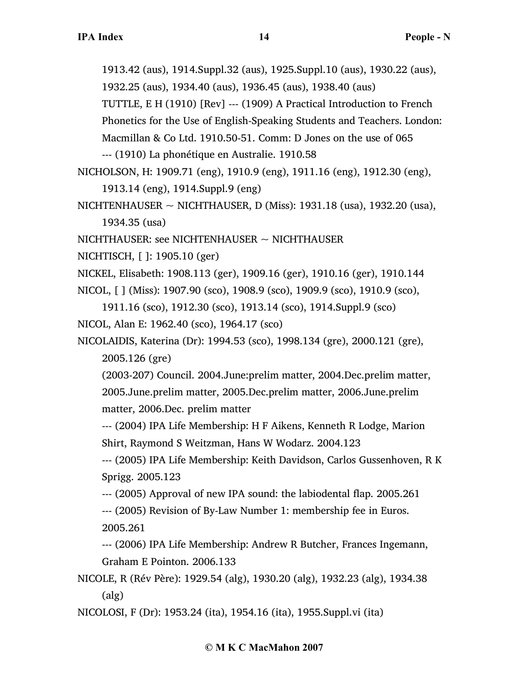- 1913.42 (aus), 1914.Suppl.32 (aus), 1925.Suppl.10 (aus), 1930.22 (aus),
- 1932.25 (aus), 1934.40 (aus), 1936.45 (aus), 1938.40 (aus)
- TUTTLE, E H (1910) [Rev] --- (1909) A Practical Introduction to French

Phonetics for the Use of English-Speaking Students and Teachers. London:

Macmillan & Co Ltd. 1910.50-51. Comm: D Jones on the use of 065

--- (1910) La phonétique en Australie. 1910.58

NICHOLSON, H: 1909.71 (eng), 1910.9 (eng), 1911.16 (eng), 1912.30 (eng),

1913.14 (eng), 1914.Suppl.9 (eng)

NICHTENHAUSER  $\sim$  NICHTHAUSER, D (Miss): 1931.18 (usa), 1932.20 (usa), 1934.35 (usa)

NICHTHAUSER: see NICHTENHAUSER ~ NICHTHAUSER

- NICHTISCH, [ ]: 1905.10 (ger)
- NICKEL, Elisabeth: 1908.113 (ger), 1909.16 (ger), 1910.16 (ger), 1910.144

NICOL, [ ] (Miss): 1907.90 (sco), 1908.9 (sco), 1909.9 (sco), 1910.9 (sco),

1911.16 (sco), 1912.30 (sco), 1913.14 (sco), 1914.Suppl.9 (sco) NICOL, Alan E: 1962.40 (sco), 1964.17 (sco)

NICOLAIDIS, Katerina (Dr): 1994.53 (sco), 1998.134 (gre), 2000.121 (gre), 2005.126 (gre)

(2003-207) Council. 2004.June:prelim matter, 2004.Dec.prelim matter, 2005.June.prelim matter, 2005.Dec.prelim matter, 2006.June.prelim matter, 2006.Dec. prelim matter

--- (2004) IPA Life Membership: H F Aikens, Kenneth R Lodge, Marion Shirt, Raymond S Weitzman, Hans W Wodarz. 2004.123

--- (2005) IPA Life Membership: Keith Davidson, Carlos Gussenhoven, R K Sprigg. 2005.123

--- (2005) Approval of new IPA sound: the labiodental flap. 2005.261

--- (2005) Revision of By-Law Number 1: membership fee in Euros. 2005.261

--- (2006) IPA Life Membership: Andrew R Butcher, Frances Ingemann, Graham E Pointon. 2006.133

NICOLE, R (Rév Père): 1929.54 (alg), 1930.20 (alg), 1932.23 (alg), 1934.38 (alg)

NICOLOSI, F (Dr): 1953.24 (ita), 1954.16 (ita), 1955.Suppl.vi (ita)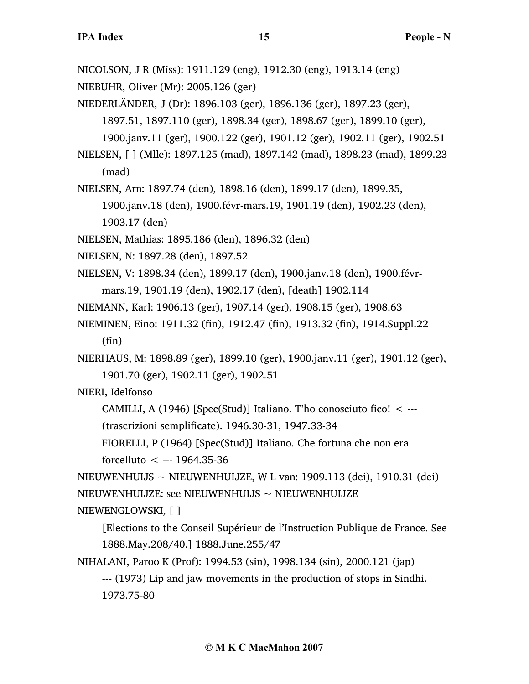NICOLSON, J R (Miss): 1911.129 (eng), 1912.30 (eng), 1913.14 (eng)

NIEBUHR, Oliver (Mr): 2005.126 (ger)

NIEDERLÄNDER, J (Dr): 1896.103 (ger), 1896.136 (ger), 1897.23 (ger),

1897.51, 1897.110 (ger), 1898.34 (ger), 1898.67 (ger), 1899.10 (ger),

1900.janv.11 (ger), 1900.122 (ger), 1901.12 (ger), 1902.11 (ger), 1902.51

NIELSEN, [ ] (Mlle): 1897.125 (mad), 1897.142 (mad), 1898.23 (mad), 1899.23 (mad)

NIELSEN, Arn: 1897.74 (den), 1898.16 (den), 1899.17 (den), 1899.35,

1900.janv.18 (den), 1900.févr-mars.19, 1901.19 (den), 1902.23 (den), 1903.17 (den)

NIELSEN, Mathias: 1895.186 (den), 1896.32 (den)

NIELSEN, N: 1897.28 (den), 1897.52

NIELSEN, V: 1898.34 (den), 1899.17 (den), 1900.janv.18 (den), 1900.févrmars.19, 1901.19 (den), 1902.17 (den), [death] 1902.114

NIEMANN, Karl: 1906.13 (ger), 1907.14 (ger), 1908.15 (ger), 1908.63

NIEMINEN, Eino: 1911.32 (fin), 1912.47 (fin), 1913.32 (fin), 1914.Suppl.22 (fin)

NIERHAUS, M: 1898.89 (ger), 1899.10 (ger), 1900.janv.11 (ger), 1901.12 (ger),

1901.70 (ger), 1902.11 (ger), 1902.51

NIERI, Idelfonso

CAMILLI, A (1946) [Spec(Stud)] Italiano. T'ho conosciuto fico! < ---

(trascrizioni semplificate). 1946.30-31, 1947.33-34

FIORELLI, P (1964) [Spec(Stud)] Italiano. Che fortuna che non era

forcelluto  $\leq$  --- 1964.35-36

NIEUWENHUIJS  $\sim$  NIEUWENHUIJZE, W L van: 1909.113 (dei), 1910.31 (dei)  $NIEUWENHUJZE:$  see  $NIEUWENHUIJS \sim NIEUWENHUIJZE$ 

NIEWENGLOWSKI, [ ]

[Elections to the Conseil Supérieur de l'Instruction Publique de France. See 1888.May.208/40.] 1888.June.255/47

NIHALANI, Paroo K (Prof): 1994.53 (sin), 1998.134 (sin), 2000.121 (jap)

--- (1973) Lip and jaw movements in the production of stops in Sindhi. 1973.75-80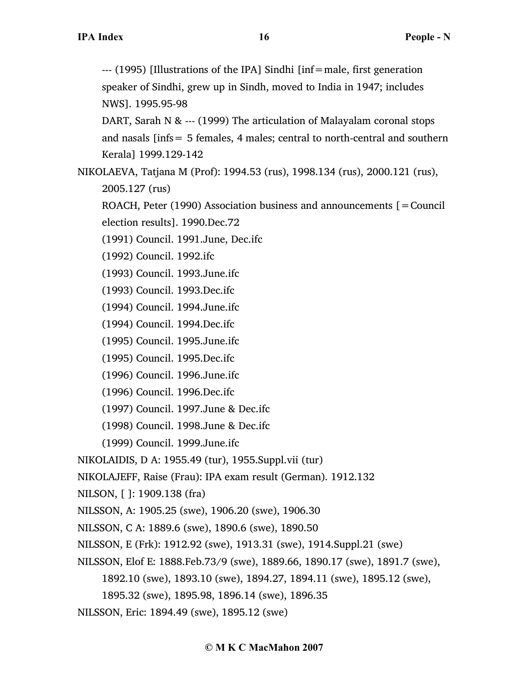--- (1995) [Illustrations of the IPA] Sindhi [inf=male, first generation speaker of Sindhi, grew up in Sindh, moved to India in 1947; includes NWS]. 1995.95-98

DART, Sarah N & --- (1999) The articulation of Malayalam coronal stops and nasals [infs= 5 females, 4 males; central to north-central and southern Kerala] 1999.129-142

NIKOLAEVA, Tatjana M (Prof): 1994.53 (rus), 1998.134 (rus), 2000.121 (rus), 2005.127 (rus)

ROACH, Peter (1990) Association business and announcements  $\mathbf{r} =$  Council

election results]. 1990.Dec.72

(1991) Council. 1991.June, Dec.ifc

(1992) Council. 1992.ifc

(1993) Council. 1993.June.ifc

(1993) Council. 1993.Dec.ifc

(1994) Council. 1994.June.ifc

(1994) Council. 1994.Dec.ifc

(1995) Council. 1995.June.ifc

(1995) Council. 1995.Dec.ifc

(1996) Council. 1996.June.ifc

(1996) Council. 1996.Dec.ifc

(1997) Council. 1997.June & Dec.ifc

(1998) Council. 1998.June & Dec.ifc

(1999) Council. 1999.June.ifc

NIKOLAIDIS, D A: 1955.49 (tur), 1955.Suppl.vii (tur)

NIKOLAJEFF, Raise (Frau): IPA exam result (German). 1912.132

NILSON, [ ]: 1909.138 (fra)

NILSSON, A: 1905.25 (swe), 1906.20 (swe), 1906.30

NILSSON, C A: 1889.6 (swe), 1890.6 (swe), 1890.50

NILSSON, E (Frk): 1912.92 (swe), 1913.31 (swe), 1914.Suppl.21 (swe)

NILSSON, Elof E: 1888.Feb.73/9 (swe), 1889.66, 1890.17 (swe), 1891.7 (swe),

1892.10 (swe), 1893.10 (swe), 1894.27, 1894.11 (swe), 1895.12 (swe),

1895.32 (swe), 1895.98, 1896.14 (swe), 1896.35

NILSSON, Eric: 1894.49 (swe), 1895.12 (swe)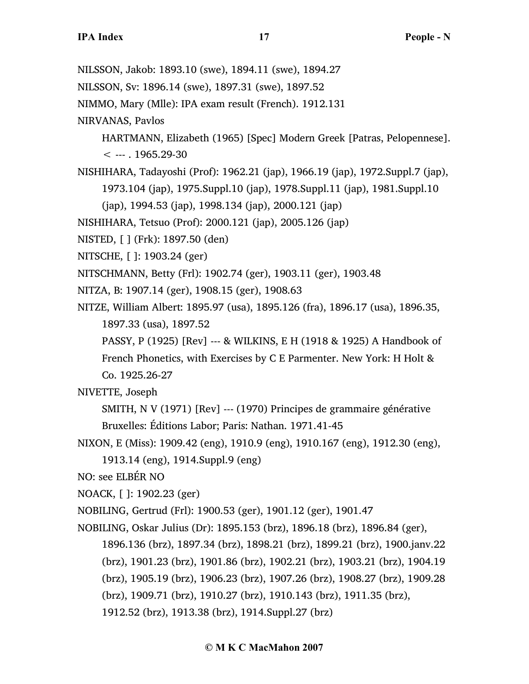- NILSSON, Jakob: 1893.10 (swe), 1894.11 (swe), 1894.27
- NILSSON, Sv: 1896.14 (swe), 1897.31 (swe), 1897.52
- NIMMO, Mary (Mlle): IPA exam result (French). 1912.131
- NIRVANAS, Pavlos
	- HARTMANN, Elizabeth (1965) [Spec] Modern Greek [Patras, Pelopennese].
	- $< -1965.29 30$
- NISHIHARA, Tadayoshi (Prof): 1962.21 (jap), 1966.19 (jap), 1972.Suppl.7 (jap), 1973.104 (jap), 1975.Suppl.10 (jap), 1978.Suppl.11 (jap), 1981.Suppl.10
	- (jap), 1994.53 (jap), 1998.134 (jap), 2000.121 (jap)
- NISHIHARA, Tetsuo (Prof): 2000.121 (jap), 2005.126 (jap)
- NISTED, [ ] (Frk): 1897.50 (den)
- NITSCHE, [ ]: 1903.24 (ger)
- NITSCHMANN, Betty (Frl): 1902.74 (ger), 1903.11 (ger), 1903.48
- NITZA, B: 1907.14 (ger), 1908.15 (ger), 1908.63
- NITZE, William Albert: 1895.97 (usa), 1895.126 (fra), 1896.17 (usa), 1896.35, 1897.33 (usa), 1897.52
	- PASSY, P (1925) [Rev] --- & WILKINS, E H (1918 & 1925) A Handbook of French Phonetics, with Exercises by C E Parmenter. New York: H Holt &

Co. 1925.26-27

- NIVETTE, Joseph
	- SMITH, N V (1971) [Rev] --- (1970) Principes de grammaire générative Bruxelles: Éditions Labor; Paris: Nathan. 1971.41-45
- NIXON, E (Miss): 1909.42 (eng), 1910.9 (eng), 1910.167 (eng), 1912.30 (eng),
	- 1913.14 (eng), 1914.Suppl.9 (eng)
- NO: see ELBÉR NO
- NOACK, [ ]: 1902.23 (ger)
- NOBILING, Gertrud (Frl): 1900.53 (ger), 1901.12 (ger), 1901.47
- NOBILING, Oskar Julius (Dr): 1895.153 (brz), 1896.18 (brz), 1896.84 (ger),
	- 1896.136 (brz), 1897.34 (brz), 1898.21 (brz), 1899.21 (brz), 1900.janv.22 (brz), 1901.23 (brz), 1901.86 (brz), 1902.21 (brz), 1903.21 (brz), 1904.19 (brz), 1905.19 (brz), 1906.23 (brz), 1907.26 (brz), 1908.27 (brz), 1909.28 (brz), 1909.71 (brz), 1910.27 (brz), 1910.143 (brz), 1911.35 (brz), 1912.52 (brz), 1913.38 (brz), 1914.Suppl.27 (brz)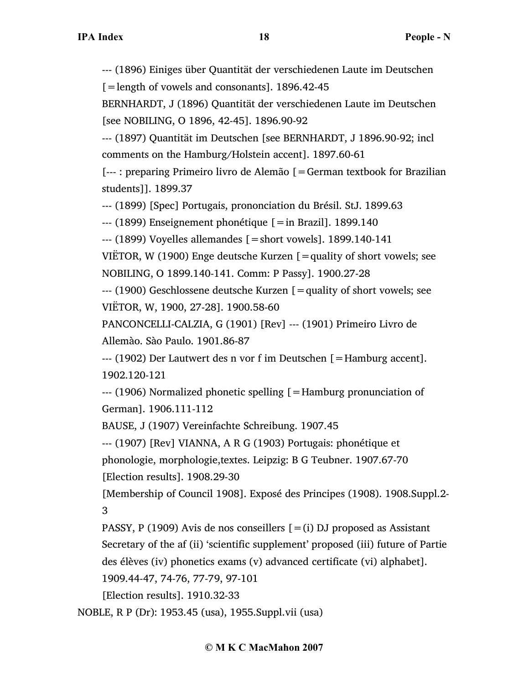--- (1896) Einiges über Quantität der verschiedenen Laute im Deutschen

[=length of vowels and consonants]. 1896.42-45

BERNHARDT, J (1896) Quantität der verschiedenen Laute im Deutschen [see NOBILING, O 1896, 42-45]. 1896.90-92

--- (1897) Quantität im Deutschen [see BERNHARDT, J 1896.90-92; incl comments on the Hamburg/Holstein accent]. 1897.60-61

[--- : preparing Primeiro livro de Alemão [=German textbook for Brazilian students]]. 1899.37

--- (1899) [Spec] Portugais, prononciation du Brésil. StJ. 1899.63

 $-$ -- (1899) Enseignement phonétique [=in Brazil]. 1899.140

 $-$ -- $(1899)$  Voyelles allemandes  $[$  = short vowels]. 1899.140-141

VIËTOR, W (1900) Enge deutsche Kurzen  $[$  = quality of short vowels; see NOBILING, O 1899.140-141. Comm: P Passy]. 1900.27-28

--- (1900) Geschlossene deutsche Kurzen [=quality of short vowels; see VIËTOR, W, 1900, 27-28]. 1900.58-60

PANCONCELLI-CALZIA, G (1901) [Rev] --- (1901) Primeiro Livro de Allemào. Sào Paulo. 1901.86-87

--- (1902) Der Lautwert des n vor f im Deutschen [=Hamburg accent]. 1902.120-121

--- (1906) Normalized phonetic spelling [=Hamburg pronunciation of German]. 1906.111-112

BAUSE, J (1907) Vereinfachte Schreibung. 1907.45

--- (1907) [Rev] VIANNA, A R G (1903) Portugais: phonétique et

phonologie, morphologie,textes. Leipzig: B G Teubner. 1907.67-70 [Election results]. 1908.29-30

[Membership of Council 1908]. Exposé des Principes (1908). 1908.Suppl.2- 3

PASSY, P (1909) Avis de nos conseillers  $[=(i)$  DJ proposed as Assistant Secretary of the af (ii) 'scientific supplement' proposed (iii) future of Partie des élèves (iv) phonetics exams (v) advanced certificate (vi) alphabet].

1909.44-47, 74-76, 77-79, 97-101

[Election results]. 1910.32-33

NOBLE, R P (Dr): 1953.45 (usa), 1955.Suppl.vii (usa)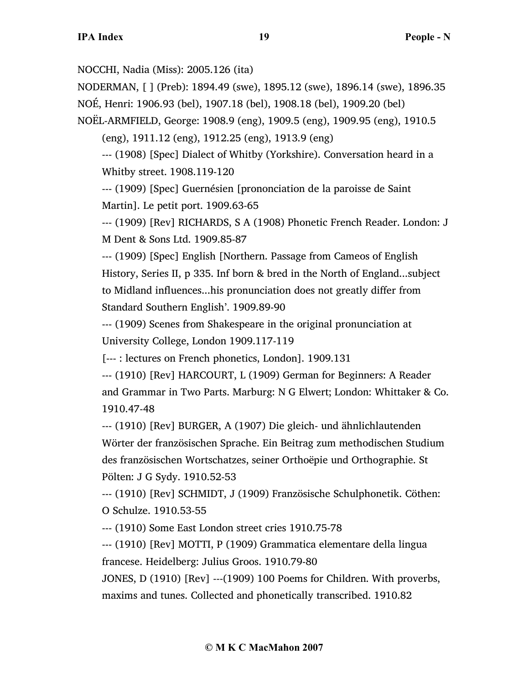NOCCHI, Nadia (Miss): 2005.126 (ita)

NODERMAN, [ ] (Preb): 1894.49 (swe), 1895.12 (swe), 1896.14 (swe), 1896.35 NOÉ, Henri: 1906.93 (bel), 1907.18 (bel), 1908.18 (bel), 1909.20 (bel)

NOËL-ARMFIELD, George: 1908.9 (eng), 1909.5 (eng), 1909.95 (eng), 1910.5

(eng), 1911.12 (eng), 1912.25 (eng), 1913.9 (eng)

--- (1908) [Spec] Dialect of Whitby (Yorkshire). Conversation heard in a Whitby street. 1908.119-120

--- (1909) [Spec] Guernésien [prononciation de la paroisse de Saint Martin]. Le petit port. 1909.63-65

--- (1909) [Rev] RICHARDS, S A (1908) Phonetic French Reader. London: J M Dent & Sons Ltd. 1909.85-87

--- (1909) [Spec] English [Northern. Passage from Cameos of English History, Series II, p 335. Inf born & bred in the North of England...subject to Midland influences...his pronunciation does not greatly differ from Standard Southern English'. 1909.89-90

--- (1909) Scenes from Shakespeare in the original pronunciation at University College, London 1909.117-119

[--- : lectures on French phonetics, London]. 1909.131

--- (1910) [Rev] HARCOURT, L (1909) German for Beginners: A Reader and Grammar in Two Parts. Marburg: N G Elwert; London: Whittaker & Co. 1910.47-48

--- (1910) [Rev] BURGER, A (1907) Die gleich- und ähnlichlautenden Wörter der französischen Sprache. Ein Beitrag zum methodischen Studium des französischen Wortschatzes, seiner Orthoëpie und Orthographie. St Pölten: J G Sydy. 1910.52-53

--- (1910) [Rev] SCHMIDT, J (1909) Französische Schulphonetik. Cöthen: O Schulze. 1910.53-55

--- (1910) Some East London street cries 1910.75-78

--- (1910) [Rev] MOTTI, P (1909) Grammatica elementare della lingua francese. Heidelberg: Julius Groos. 1910.79-80

JONES, D (1910) [Rev] ---(1909) 100 Poems for Children. With proverbs, maxims and tunes. Collected and phonetically transcribed. 1910.82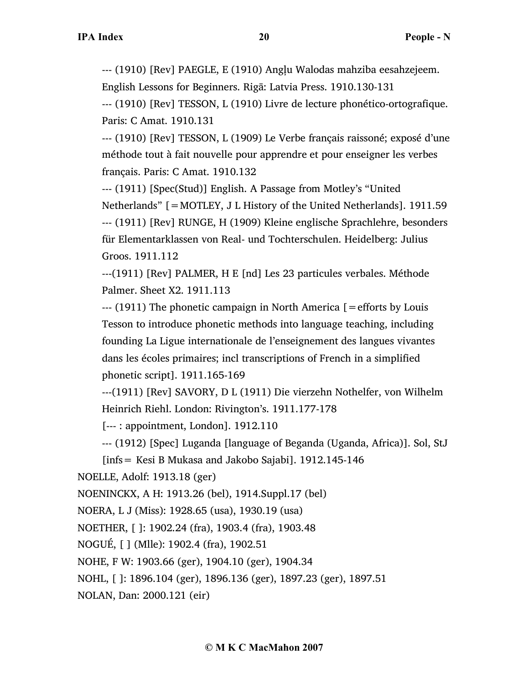--- (1910) [Rev] PAEGLE, E (1910) Angļu Walodas mahziba eesahzejeem.

English Lessons for Beginners. Rigā: Latvia Press. 1910.130-131

--- (1910) [Rev] TESSON, L (1910) Livre de lecture phonético-ortografique. Paris: C Amat. 1910.131

--- (1910) [Rev] TESSON, L (1909) Le Verbe français raissoné; exposé d'une méthode tout à fait nouvelle pour apprendre et pour enseigner les verbes français. Paris: C Amat. 1910.132

--- (1911) [Spec(Stud)] English. A Passage from Motley's "United Netherlands" [=MOTLEY, J L History of the United Netherlands]. 1911.59 --- (1911) [Rev] RUNGE, H (1909) Kleine englische Sprachlehre, besonders für Elementarklassen von Real- und Tochterschulen. Heidelberg: Julius Groos. 1911.112

---(1911) [Rev] PALMER, H E [nd] Les 23 particules verbales. Méthode Palmer. Sheet X2. 1911.113

--- (1911) The phonetic campaign in North America [=efforts by Louis Tesson to introduce phonetic methods into language teaching, including founding La Ligue internationale de l'enseignement des langues vivantes dans les écoles primaires; incl transcriptions of French in a simplified phonetic script]. 1911.165-169

---(1911) [Rev] SAVORY, D L (1911) Die vierzehn Nothelfer, von Wilhelm Heinrich Riehl. London: Rivington's. 1911.177-178

[--- : appointment, London]. 1912.110

--- (1912) [Spec] Luganda [language of Beganda (Uganda, Africa)]. Sol, StJ

[infs= Kesi B Mukasa and Jakobo Sajabi]. 1912.145-146

NOELLE, Adolf: 1913.18 (ger)

NOENINCKX, A H: 1913.26 (bel), 1914.Suppl.17 (bel)

NOERA, L J (Miss): 1928.65 (usa), 1930.19 (usa)

NOETHER, [ ]: 1902.24 (fra), 1903.4 (fra), 1903.48

NOGUÉ, [ ] (Mlle): 1902.4 (fra), 1902.51

NOHE, F W: 1903.66 (ger), 1904.10 (ger), 1904.34

NOHL, [ ]: 1896.104 (ger), 1896.136 (ger), 1897.23 (ger), 1897.51

NOLAN, Dan: 2000.121 (eir)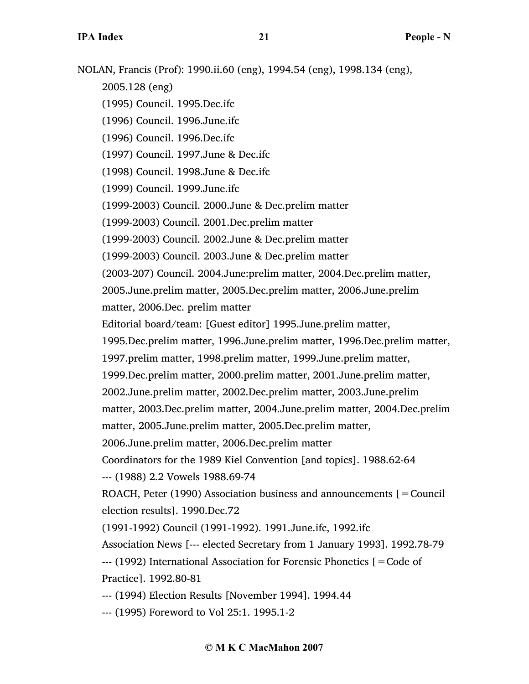NOLAN, Francis (Prof): 1990.ii.60 (eng), 1994.54 (eng), 1998.134 (eng), 2005.128 (eng) (1995) Council. 1995.Dec.ifc (1996) Council. 1996.June.ifc (1996) Council. 1996.Dec.ifc (1997) Council. 1997.June & Dec.ifc (1998) Council. 1998.June & Dec.ifc (1999) Council. 1999.June.ifc (1999-2003) Council. 2000.June & Dec.prelim matter (1999-2003) Council. 2001.Dec.prelim matter (1999-2003) Council. 2002.June & Dec.prelim matter (1999-2003) Council. 2003.June & Dec.prelim matter (2003-207) Council. 2004.June:prelim matter, 2004.Dec.prelim matter, 2005.June.prelim matter, 2005.Dec.prelim matter, 2006.June.prelim matter, 2006.Dec. prelim matter Editorial board/team: [Guest editor] 1995.June.prelim matter, 1995.Dec.prelim matter, 1996.June.prelim matter, 1996.Dec.prelim matter, 1997.prelim matter, 1998.prelim matter, 1999.June.prelim matter, 1999.Dec.prelim matter, 2000.prelim matter, 2001.June.prelim matter, 2002.June.prelim matter, 2002.Dec.prelim matter, 2003.June.prelim matter, 2003.Dec.prelim matter, 2004.June.prelim matter, 2004.Dec.prelim matter, 2005.June.prelim matter, 2005.Dec.prelim matter, 2006.June.prelim matter, 2006.Dec.prelim matter Coordinators for the 1989 Kiel Convention [and topics]. 1988.62-64 --- (1988) 2.2 Vowels 1988.69-74 ROACH, Peter (1990) Association business and announcements [=Council election results]. 1990.Dec.72 (1991-1992) Council (1991-1992). 1991.June.ifc, 1992.ifc Association News [--- elected Secretary from 1 January 1993]. 1992.78-79 --- (1992) International Association for Forensic Phonetics [=Code of Practice]. 1992.80-81 --- (1994) Election Results [November 1994]. 1994.44 --- (1995) Foreword to Vol 25:1. 1995.1-2

## **© M K C MacMahon 2007**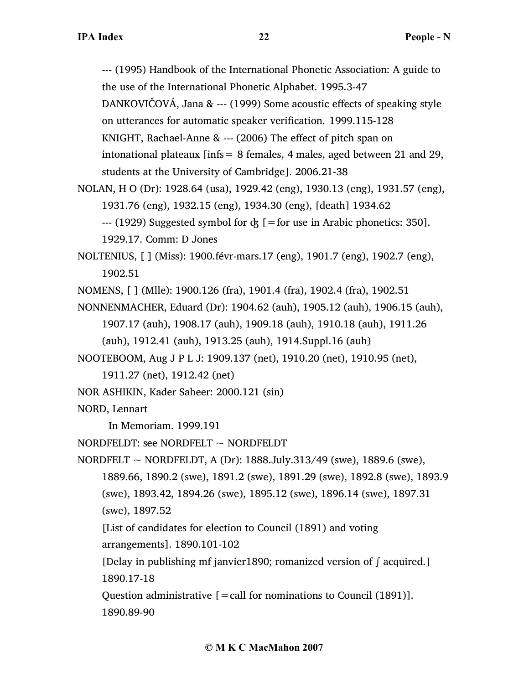--- (1995) Handbook of the International Phonetic Association: A guide to the use of the International Phonetic Alphabet. 1995.3-47

DANKOVIČOVÁ, Jana & --- (1999) Some acoustic effects of speaking style

on utterances for automatic speaker verification. 1999.115-128

KNIGHT, Rachael-Anne & --- (2006) The effect of pitch span on

intonational plateaux  $\text{links} = 8$  females, 4 males, aged between 21 and 29, students at the University of Cambridge]. 2006.21-38

NOLAN, H O (Dr): 1928.64 (usa), 1929.42 (eng), 1930.13 (eng), 1931.57 (eng), 1931.76 (eng), 1932.15 (eng), 1934.30 (eng), [death] 1934.62 --- (1929) Suggested symbol for  $\dot{\phi}$  [=for use in Arabic phonetics: 350].

1929.17. Comm: D Jones

- NOLTENIUS, [ ] (Miss): 1900.févr-mars.17 (eng), 1901.7 (eng), 1902.7 (eng), 1902.51
- NOMENS, [ ] (Mlle): 1900.126 (fra), 1901.4 (fra), 1902.4 (fra), 1902.51
- NONNENMACHER, Eduard (Dr): 1904.62 (auh), 1905.12 (auh), 1906.15 (auh), 1907.17 (auh), 1908.17 (auh), 1909.18 (auh), 1910.18 (auh), 1911.26 (auh), 1912.41 (auh), 1913.25 (auh), 1914.Suppl.16 (auh)
- NOOTEBOOM, Aug J P L J: 1909.137 (net), 1910.20 (net), 1910.95 (net),
	- 1911.27 (net), 1912.42 (net)
- NOR ASHIKIN, Kader Saheer: 2000.121 (sin)
- NORD, Lennart

In Memoriam. 1999.191

NORDFELDT: see NORDFELT  $\sim$  NORDFELDT

- NORDFELT ~ NORDFELDT, A (Dr):  $1888.July.313/49$  (swe),  $1889.6$  (swe), 1889.66, 1890.2 (swe), 1891.2 (swe), 1891.29 (swe), 1892.8 (swe), 1893.9 (swe), 1893.42, 1894.26 (swe), 1895.12 (swe), 1896.14 (swe), 1897.31 (swe), 1897.52
	- [List of candidates for election to Council (1891) and voting arrangements]. 1890.101-102
	- [Delay in publishing mf janvier1890; romanized version of ∫ acquired.] 1890.17-18
	- Question administrative  $[=$  call for nominations to Council (1891)]. 1890.89-90

## **© M K C MacMahon 2007**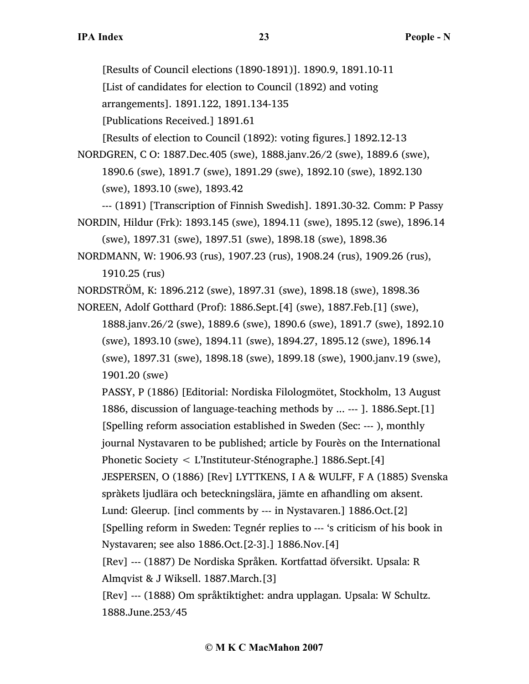[Results of Council elections (1890-1891)]. 1890.9, 1891.10-11

[List of candidates for election to Council (1892) and voting

arrangements]. 1891.122, 1891.134-135

[Publications Received.] 1891.61

[Results of election to Council (1892): voting figures.] 1892.12-13

NORDGREN, C O: 1887.Dec.405 (swe), 1888.janv.26/2 (swe), 1889.6 (swe), 1890.6 (swe), 1891.7 (swe), 1891.29 (swe), 1892.10 (swe), 1892.130 (swe), 1893.10 (swe), 1893.42

--- (1891) [Transcription of Finnish Swedish]. 1891.30-32. Comm: P Passy NORDIN, Hildur (Frk): 1893.145 (swe), 1894.11 (swe), 1895.12 (swe), 1896.14

(swe), 1897.31 (swe), 1897.51 (swe), 1898.18 (swe), 1898.36

NORDMANN, W: 1906.93 (rus), 1907.23 (rus), 1908.24 (rus), 1909.26 (rus), 1910.25 (rus)

NORDSTRÖM, K: 1896.212 (swe), 1897.31 (swe), 1898.18 (swe), 1898.36

NOREEN, Adolf Gotthard (Prof): 1886.Sept.[4] (swe), 1887.Feb.[1] (swe),

1888.janv.26/2 (swe), 1889.6 (swe), 1890.6 (swe), 1891.7 (swe), 1892.10 (swe), 1893.10 (swe), 1894.11 (swe), 1894.27, 1895.12 (swe), 1896.14 (swe), 1897.31 (swe), 1898.18 (swe), 1899.18 (swe), 1900.janv.19 (swe), 1901.20 (swe)

PASSY, P (1886) [Editorial: Nordiska Filologmötet, Stockholm, 13 August 1886, discussion of language-teaching methods by ... --- ]. 1886.Sept.[1] [Spelling reform association established in Sweden (Sec: --- ), monthly journal Nystavaren to be published; article by Fourès on the International Phonetic Society < L'Instituteur-Sténographe.] 1886.Sept.[4] JESPERSEN, O (1886) [Rev] LYTTKENS, I A & WULFF, F A (1885) Svenska spràkets ljudlära och beteckningslära, jämte en afhandling om aksent. Lund: Gleerup. [incl comments by --- in Nystavaren.] 1886.Oct.[2] [Spelling reform in Sweden: Tegnér replies to --- 's criticism of his book in Nystavaren; see also 1886.Oct.[2-3].] 1886.Nov.[4] [Rev] --- (1887) De Nordiska Språken. Kortfattad öfversikt. Upsala: R

Almqvist & J Wiksell. 1887.March.[3]

[Rev] --- (1888) Om språktiktighet: andra upplagan. Upsala: W Schultz. 1888.June.253/45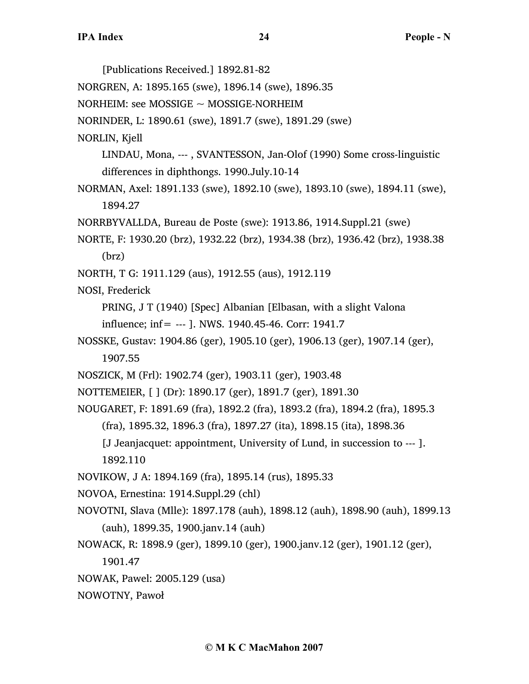[Publications Received.] 1892.81-82 NORGREN, A: 1895.165 (swe), 1896.14 (swe), 1896.35 NORHEIM: see MOSSIGE ~ MOSSIGE-NORHEIM NORINDER, L: 1890.61 (swe), 1891.7 (swe), 1891.29 (swe) NORLIN, Kjell LINDAU, Mona, --- , SVANTESSON, Jan-Olof (1990) Some cross-linguistic differences in diphthongs. 1990.July.10-14 NORMAN, Axel: 1891.133 (swe), 1892.10 (swe), 1893.10 (swe), 1894.11 (swe), 1894.27 NORRBYVALLDA, Bureau de Poste (swe): 1913.86, 1914.Suppl.21 (swe) NORTE, F: 1930.20 (brz), 1932.22 (brz), 1934.38 (brz), 1936.42 (brz), 1938.38 (brz) NORTH, T G: 1911.129 (aus), 1912.55 (aus), 1912.119 NOSI, Frederick PRING, J T (1940) [Spec] Albanian [Elbasan, with a slight Valona influence; inf= --- ]. NWS. 1940.45-46. Corr: 1941.7 NOSSKE, Gustav: 1904.86 (ger), 1905.10 (ger), 1906.13 (ger), 1907.14 (ger), 1907.55 NOSZICK, M (Frl): 1902.74 (ger), 1903.11 (ger), 1903.48 NOTTEMEIER, [ ] (Dr): 1890.17 (ger), 1891.7 (ger), 1891.30 NOUGARET, F: 1891.69 (fra), 1892.2 (fra), 1893.2 (fra), 1894.2 (fra), 1895.3 (fra), 1895.32, 1896.3 (fra), 1897.27 (ita), 1898.15 (ita), 1898.36 [J Jeanjacquet: appointment, University of Lund, in succession to --- ]. 1892.110 NOVIKOW, J A: 1894.169 (fra), 1895.14 (rus), 1895.33 NOVOA, Ernestina: 1914.Suppl.29 (chl) NOVOTNI, Slava (Mlle): 1897.178 (auh), 1898.12 (auh), 1898.90 (auh), 1899.13 (auh), 1899.35, 1900.janv.14 (auh) NOWACK, R: 1898.9 (ger), 1899.10 (ger), 1900.janv.12 (ger), 1901.12 (ger), 1901.47 NOWAK, Pawel: 2005.129 (usa) NOWOTNY, Pawoł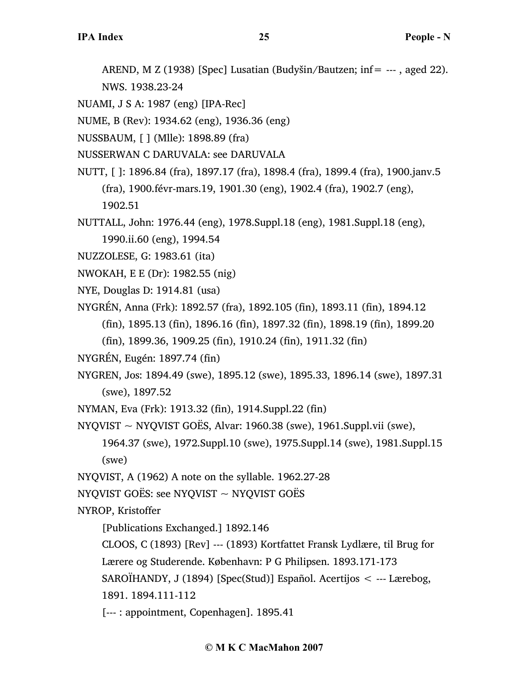AREND, M Z (1938) [Spec] Lusatian (Budyšin/Bautzen; inf= --- , aged 22).

NWS. 1938.23-24

NUAMI, J S A: 1987 (eng) [IPA-Rec]

NUME, B (Rev): 1934.62 (eng), 1936.36 (eng)

NUSSBAUM, [ ] (Mlle): 1898.89 (fra)

NUSSERWAN C DARUVALA: see DARUVALA

NUTT, [ ]: 1896.84 (fra), 1897.17 (fra), 1898.4 (fra), 1899.4 (fra), 1900.janv.5 (fra), 1900.févr-mars.19, 1901.30 (eng), 1902.4 (fra), 1902.7 (eng), 1902.51

NUTTALL, John: 1976.44 (eng), 1978.Suppl.18 (eng), 1981.Suppl.18 (eng), 1990.ii.60 (eng), 1994.54

NUZZOLESE, G: 1983.61 (ita)

- NWOKAH, E E (Dr): 1982.55 (nig)
- NYE, Douglas D: 1914.81 (usa)

NYGRÉN, Anna (Frk): 1892.57 (fra), 1892.105 (fin), 1893.11 (fin), 1894.12

(fin), 1895.13 (fin), 1896.16 (fin), 1897.32 (fin), 1898.19 (fin), 1899.20

(fin), 1899.36, 1909.25 (fin), 1910.24 (fin), 1911.32 (fin)

NYGRÉN, Eugén: 1897.74 (fin)

NYGREN, Jos: 1894.49 (swe), 1895.12 (swe), 1895.33, 1896.14 (swe), 1897.31 (swe), 1897.52

NYMAN, Eva (Frk): 1913.32 (fin), 1914.Suppl.22 (fin)

NYQVIST  $\sim$  NYQVIST GOËS, Alvar: 1960.38 (swe), 1961.Suppl.vii (swe),

1964.37 (swe), 1972.Suppl.10 (swe), 1975.Suppl.14 (swe), 1981.Suppl.15 (swe)

NYQVIST, A (1962) A note on the syllable. 1962.27-28

NYQVIST GOËS: see NYQVIST  $\sim$  NYQVIST GOËS

NYROP, Kristoffer

[Publications Exchanged.] 1892.146

CLOOS, C (1893) [Rev] --- (1893) Kortfattet Fransk Lydlære, til Brug for

Lærere og Studerende. København: P G Philipsen. 1893.171-173

SAROÏHANDY, J (1894) [Spec(Stud)] Español. Acertijos < --- Lærebog,

1891. 1894.111-112

[--- : appointment, Copenhagen]. 1895.41